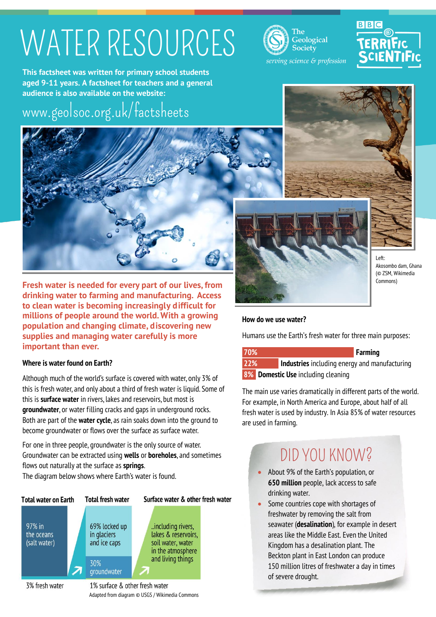# WATER RESOURCES

**Geological** Society serving science & profession

# **BBC**

**This factsheet was written for primary school students aged 9-11 years. A factsheet for teachers and a general audience is also available on the website:**

### [www.geolsoc.org.uk/factsheets](http://www.geolsoc.org.uk/factsheets)



**Fresh water is needed for every part of our lives, from drinking water to farming and manufacturing. Access to clean water is becoming increasingly difficult for millions of people around the world. With a growing population and changing climate, discovering new supplies and managing water carefully is more important than ever.**

### **Where is water found on Earth?**

Although much of the world's surface is covered with water, only 3% of this is fresh water, and only about a third of fresh water is liquid. Some of this is **surface water** in rivers, lakes and reservoirs, but most is **groundwater**, or water filling cracks and gaps in underground rocks. Both are part of the **water cycle**, as rain soaks down into the ground to become groundwater or flows over the surface as surface water.

For one in three people, groundwater is the only source of water. Groundwater can be extracted using **wells** or **boreholes**, and sometimes flows out naturally at the surface as **springs**.

The diagram below shows where Earth's water is found.







Left: Akosombo dam, Ghana (© ZSM, Wikimedia Commons)

### **How do we use water?**

Humans use the Earth's fresh water for three main purposes:

#### **70% Farming**

**22% Industries** including energy and manufacturing **8% Domestic Use** including cleaning

The main use varies dramatically in different parts of the world. For example, in North America and Europe, about half of all fresh water is used by industry. In Asia 85% of water resources are used in farming.

### DID YOU KNOW?

- About 9% of the Earth's population, or **650 million** people, lack access to safe drinking water.
- Some countries cope with shortages of freshwater by removing the salt from seawater (**desalination**), for example in desert areas like the Middle East. Even the United Kingdom has a desalination plant. The Beckton plant in East London can produce 150 million litres of freshwater a day in times of severe drought.